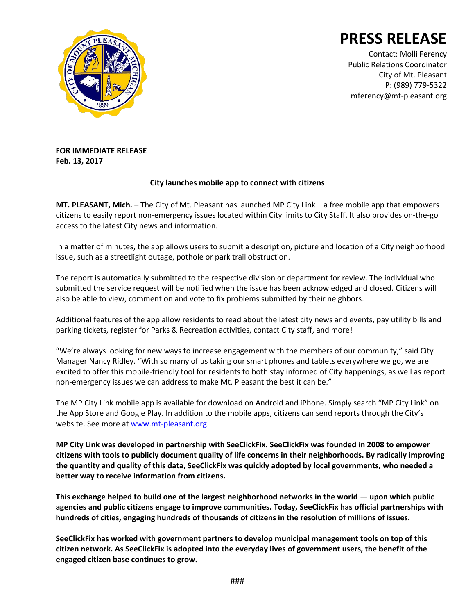

**PRESS RELEASE**

Contact: Molli Ferency Public Relations Coordinator City of Mt. Pleasant P: (989) 779-5322 mferency@mt-pleasant.org

**FOR IMMEDIATE RELEASE Feb. 13, 2017** 

## **City launches mobile app to connect with citizens**

**MT. PLEASANT, Mich. –** The City of Mt. Pleasant has launched MP City Link – a free mobile app that empowers citizens to easily report non-emergency issues located within City limits to City Staff. It also provides on-the-go access to the latest City news and information.

In a matter of minutes, the app allows users to submit a description, picture and location of a City neighborhood issue, such as a streetlight outage, pothole or park trail obstruction.

The report is automatically submitted to the respective division or department for review. The individual who submitted the service request will be notified when the issue has been acknowledged and closed. Citizens will also be able to view, comment on and vote to fix problems submitted by their neighbors.

Additional features of the app allow residents to read about the latest city news and events, pay utility bills and parking tickets, register for Parks & Recreation activities, contact City staff, and more!

"We're always looking for new ways to increase engagement with the members of our community," said City Manager Nancy Ridley. "With so many of us taking our smart phones and tablets everywhere we go, we are excited to offer this mobile-friendly tool for residents to both stay informed of City happenings, as well as report non-emergency issues we can address to make Mt. Pleasant the best it can be."

The MP City Link mobile app is available for download on Android and iPhone. Simply search "MP City Link" on the App Store and Google Play. In addition to the mobile apps, citizens can send reports through the City's website. See more a[t www.mt-pleasant.org.](http://www.mt-pleasant.org/)

**MP City Link was developed in partnership with SeeClickFix. SeeClickFix was founded in 2008 to empower citizens with tools to publicly document quality of life concerns in their neighborhoods. By radically improving the quantity and quality of this data, SeeClickFix was quickly adopted by local governments, who needed a better way to receive information from citizens.** 

**This exchange helped to build one of the largest neighborhood networks in the world — upon which public agencies and public citizens engage to improve communities. Today, SeeClickFix has official partnerships with hundreds of cities, engaging hundreds of thousands of citizens in the resolution of millions of issues.** 

**SeeClickFix has worked with government partners to develop municipal management tools on top of this citizen network. As SeeClickFix is adopted into the everyday lives of government users, the benefit of the engaged citizen base continues to grow.**